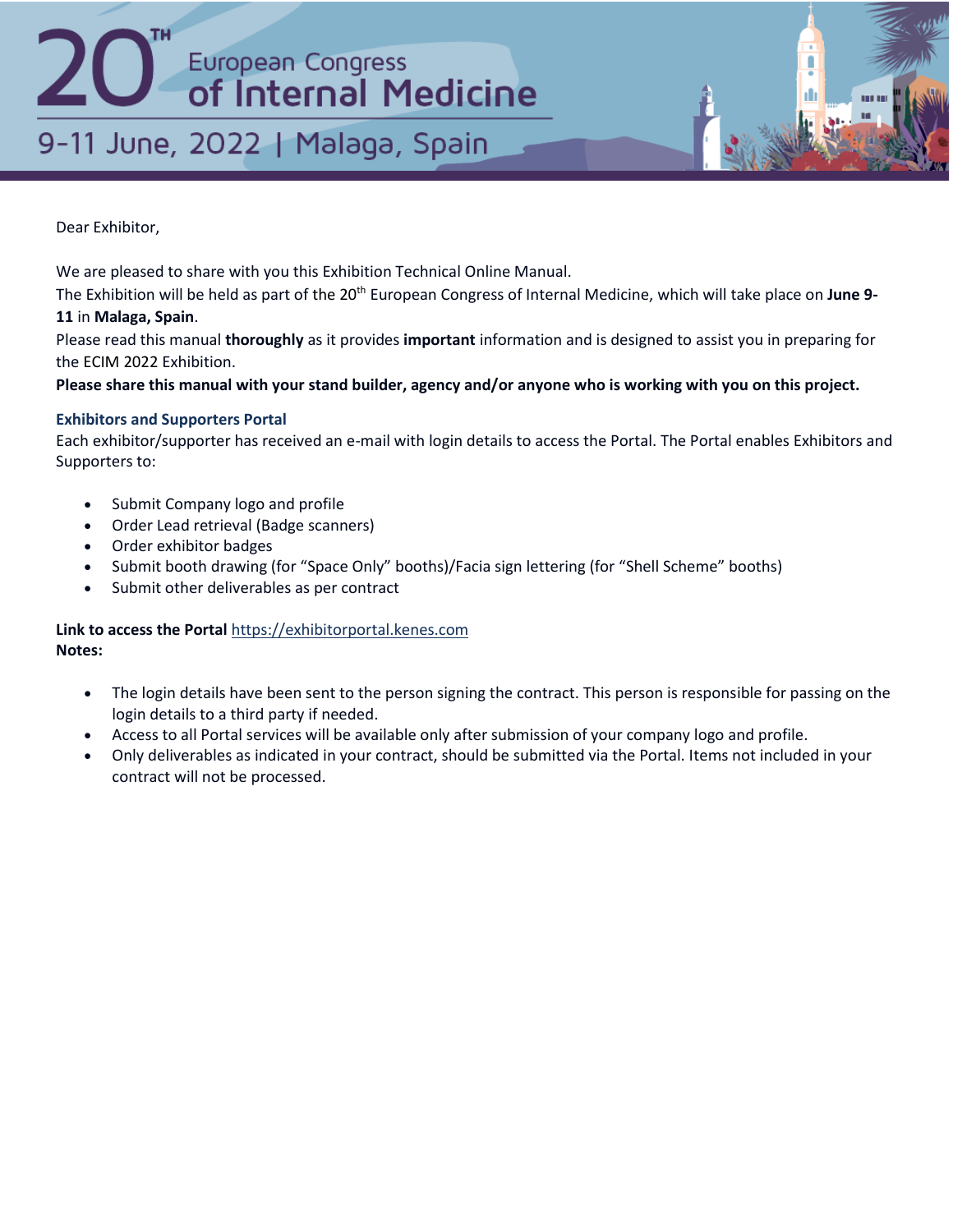## 9-11 June, 2022 | Malaga, Spain

Dear Exhibitor,

We are pleased to share with you this Exhibition Technical Online Manual.

The Exhibition will be held as part of the 20th European Congress of Internal Medicine, which will take place on **June 9-**

## **11** in **Malaga, Spain**.

Please read this manual **thoroughly** as it provides **important** information and is designed to assist you in preparing for the ECIM 2022 Exhibition.

**Please share this manual with your stand builder, agency and/or anyone who is working with you on this project.**

## **Exhibitors and Supporters Portal**

Each exhibitor/supporter has received an e-mail with login details to access the Portal. The Portal enables Exhibitors and Supporters to:

- Submit Company logo and profile
- Order Lead retrieval (Badge scanners)
- Order exhibitor badges
- Submit booth drawing (for "Space Only" booths)/Facia sign lettering (for "Shell Scheme" booths)
- Submit other deliverables as per contract

## **Link to access the Portal** [https://exhibitorportal.kenes.com](https://exhibitorportal.kenes.com/) **Notes:**

- The login details have been sent to the person signing the contract. This person is responsible for passing on the login details to a third party if needed.
- Access to all Portal services will be available only after submission of your company logo and profile.
- Only deliverables as indicated in your contract, should be submitted via the Portal. Items not included in your contract will not be processed.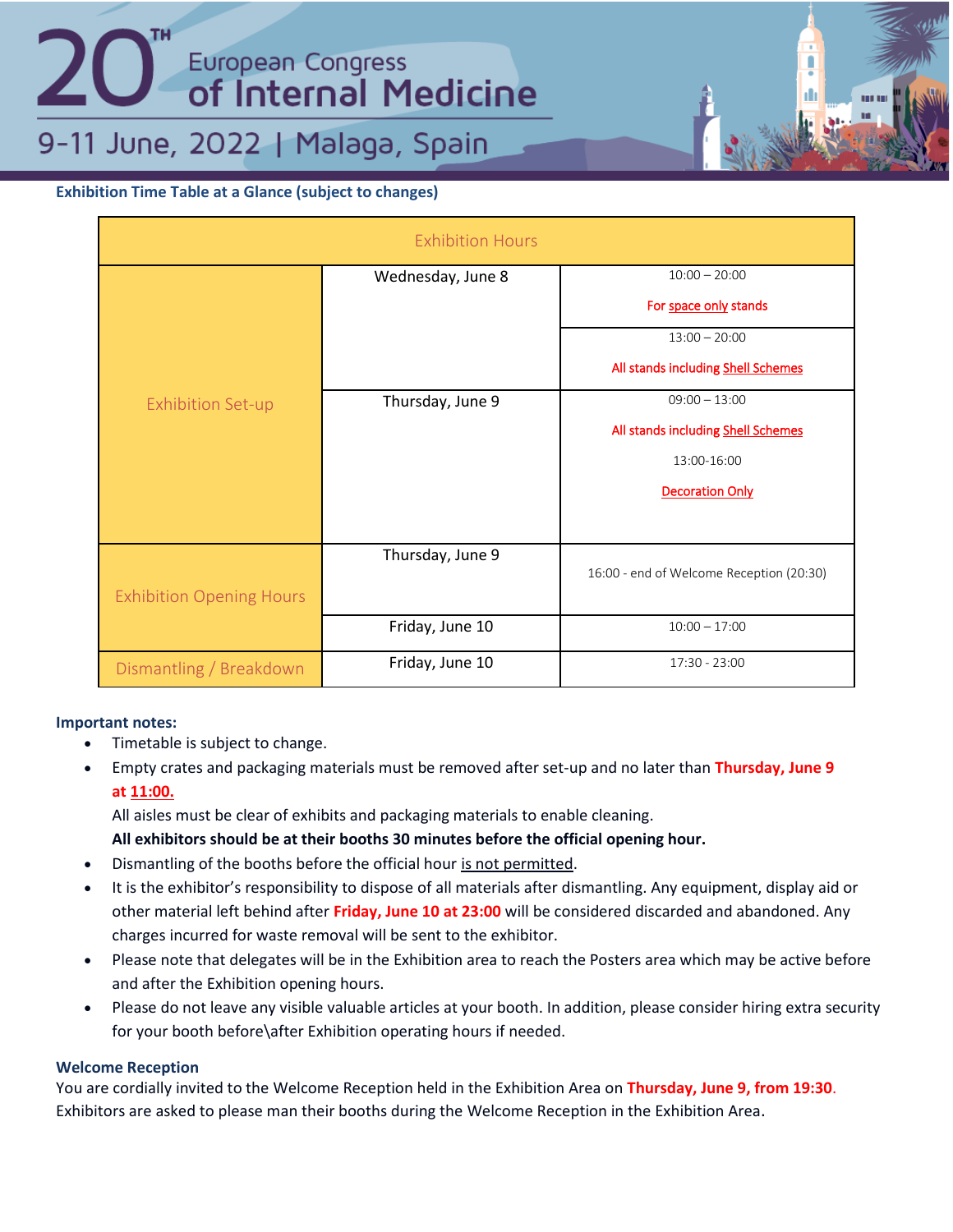9-11 June, 2022 | Malaga, Spain

## **Exhibition Time Table at a Glance (subject to changes)**

| <b>Exhibition Hours</b>         |                   |                                          |  |
|---------------------------------|-------------------|------------------------------------------|--|
|                                 | Wednesday, June 8 | $10:00 - 20:00$                          |  |
|                                 |                   | For space only stands                    |  |
|                                 |                   | $13:00 - 20:00$                          |  |
|                                 |                   | All stands including Shell Schemes       |  |
| <b>Exhibition Set-up</b>        | Thursday, June 9  | $09:00 - 13:00$                          |  |
|                                 |                   | All stands including Shell Schemes       |  |
|                                 |                   | 13:00-16:00                              |  |
|                                 |                   | <b>Decoration Only</b>                   |  |
|                                 |                   |                                          |  |
|                                 | Thursday, June 9  | 16:00 - end of Welcome Reception (20:30) |  |
| <b>Exhibition Opening Hours</b> |                   |                                          |  |
|                                 | Friday, June 10   | $10:00 - 17:00$                          |  |
| Dismantling / Breakdown         | Friday, June 10   | 17:30 - 23:00                            |  |

## **Important notes:**

- Timetable is subject to change.
- Empty crates and packaging materials must be removed after set‐up and no later than **Thursday, June 9 at 11:00.**

All aisles must be clear of exhibits and packaging materials to enable cleaning.

## **All exhibitors should be at their booths 30 minutes before the official opening hour.**

- Dismantling of the booths before the official hour is not permitted.
- It is the exhibitor's responsibility to dispose of all materials after dismantling. Any equipment, display aid or other material left behind after **Friday, June 10 at 23:00** will be considered discarded and abandoned. Any charges incurred for waste removal will be sent to the exhibitor.
- Please note that delegates will be in the Exhibition area to reach the Posters area which may be active before and after the Exhibition opening hours.
- Please do not leave any visible valuable articles at your booth. In addition, please consider hiring extra security for your booth before\after Exhibition operating hours if needed.

## **Welcome Reception**

You are cordially invited to the Welcome Reception held in the Exhibition Area on **Thursday, June 9, from 19:30**. Exhibitors are asked to please man their booths during the Welcome Reception in the Exhibition Area.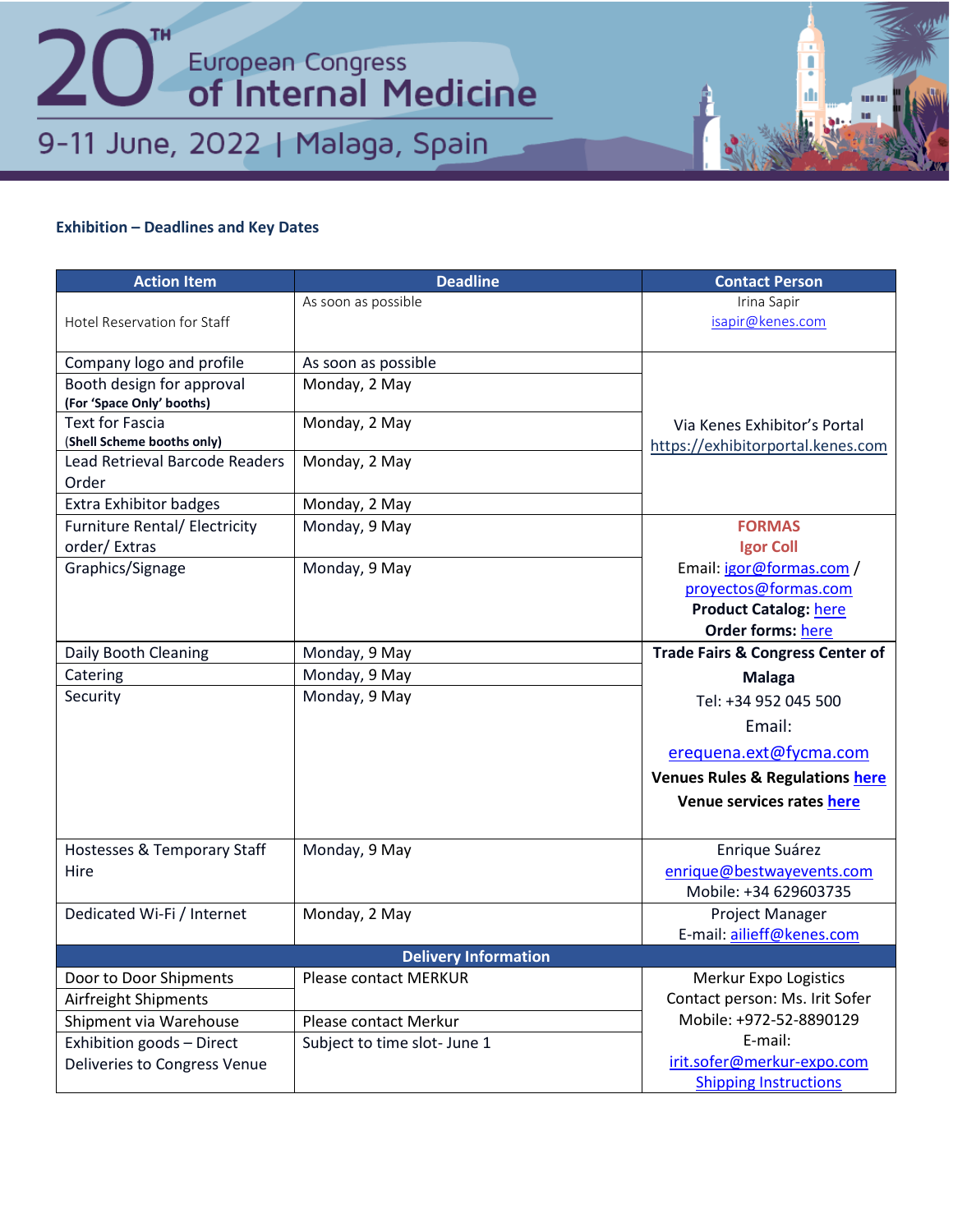## **Exhibition – Deadlines and Key Dates**

| <b>Action Item</b>                   | <b>Deadline</b>              | <b>Contact Person</b>                       |
|--------------------------------------|------------------------------|---------------------------------------------|
|                                      | As soon as possible          | Irina Sapir                                 |
| Hotel Reservation for Staff          |                              | isapir@kenes.com                            |
| Company logo and profile             | As soon as possible          |                                             |
| Booth design for approval            | Monday, 2 May                |                                             |
| (For 'Space Only' booths)            |                              |                                             |
| <b>Text for Fascia</b>               | Monday, 2 May                | Via Kenes Exhibitor's Portal                |
| (Shell Scheme booths only)           |                              | https://exhibitorportal.kenes.com           |
| Lead Retrieval Barcode Readers       | Monday, 2 May                |                                             |
| Order                                |                              |                                             |
| Extra Exhibitor badges               | Monday, 2 May                |                                             |
| <b>Furniture Rental/ Electricity</b> | Monday, 9 May                | <b>FORMAS</b>                               |
| order/Extras                         |                              | <b>Igor Coll</b>                            |
| Graphics/Signage                     | Monday, 9 May                | Email: igor@formas.com /                    |
|                                      |                              | proyectos@formas.com                        |
|                                      |                              | <b>Product Catalog: here</b>                |
|                                      |                              | <b>Order forms: here</b>                    |
| Daily Booth Cleaning                 | Monday, 9 May                | <b>Trade Fairs &amp; Congress Center of</b> |
| Catering                             | Monday, 9 May                | <b>Malaga</b>                               |
| Security                             | Monday, 9 May                | Tel: +34 952 045 500                        |
|                                      |                              | Email:                                      |
|                                      |                              | erequena.ext@fycma.com                      |
|                                      |                              | <b>Venues Rules &amp; Regulations here</b>  |
|                                      |                              | Venue services rates here                   |
|                                      |                              |                                             |
| Hostesses & Temporary Staff          | Monday, 9 May                | Enrique Suárez                              |
| Hire                                 |                              | enrique@bestwayevents.com                   |
|                                      |                              | Mobile: +34 629603735                       |
| Dedicated Wi-Fi / Internet           | Monday, 2 May                | Project Manager                             |
|                                      |                              | E-mail: ailieff@kenes.com                   |
|                                      | <b>Delivery Information</b>  |                                             |
| Door to Door Shipments               | Please contact MERKUR        | Merkur Expo Logistics                       |
| Airfreight Shipments                 |                              | Contact person: Ms. Irit Sofer              |
| Shipment via Warehouse               | Please contact Merkur        | Mobile: +972-52-8890129                     |
| Exhibition goods - Direct            | Subject to time slot- June 1 | E-mail:                                     |
| Deliveries to Congress Venue         |                              | irit.sofer@merkur-expo.com                  |
|                                      |                              | <b>Shipping Instructions</b>                |

ļ m

la la

un u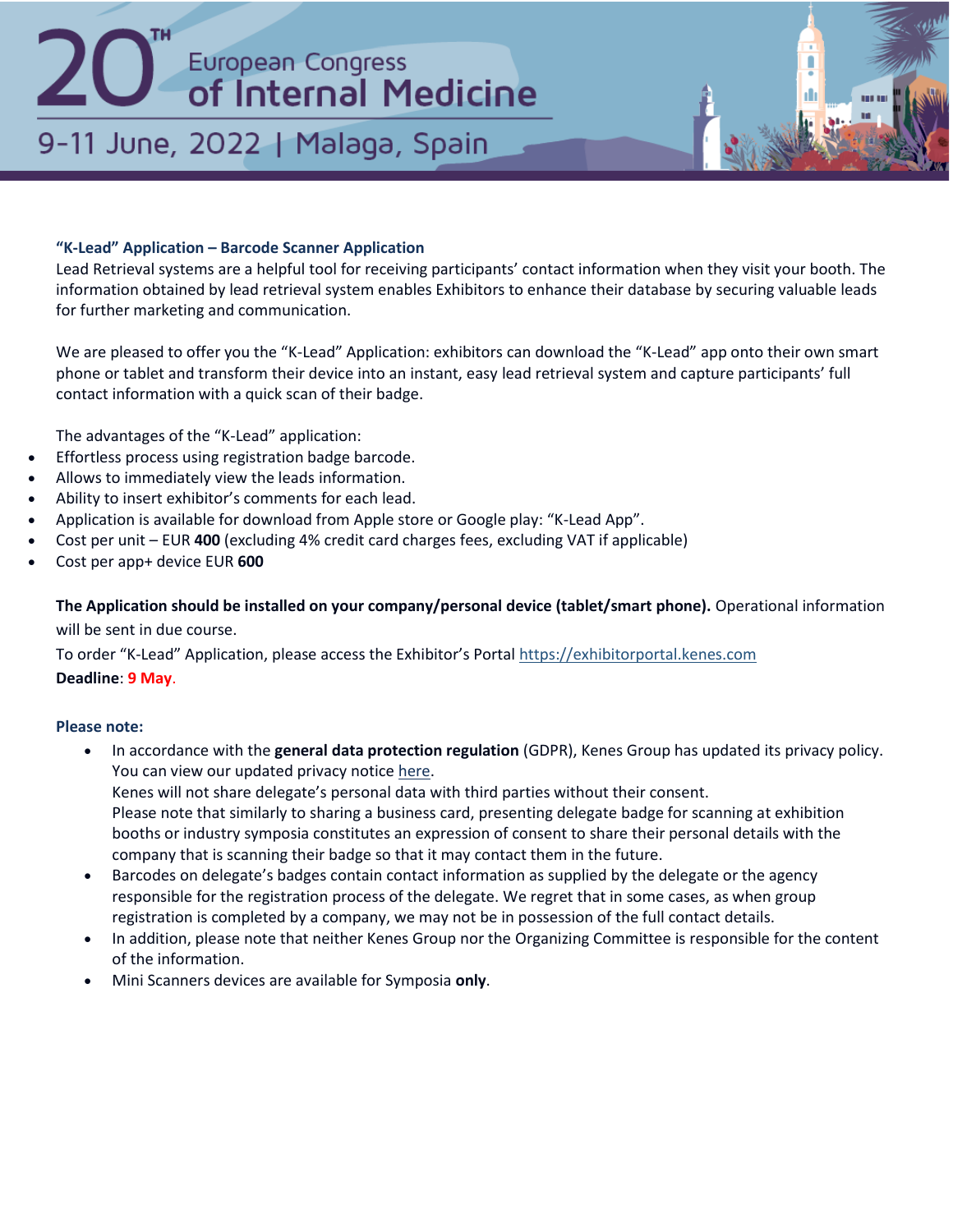## 9-11 June, 2022 | Malaga, Spain

## **"K-Lead" Application – Barcode Scanner Application**

Lead Retrieval systems are a helpful tool for receiving participants' contact information when they visit your booth. The information obtained by lead retrieval system enables Exhibitors to enhance their database by securing valuable leads for further marketing and communication.

We are pleased to offer you the "K-Lead" Application: exhibitors can download the "K-Lead" app onto their own smart phone or tablet and transform their device into an instant, easy lead retrieval system and capture participants' full contact information with a quick scan of their badge.

The advantages of the "K-Lead" application:

- Effortless process using registration badge barcode.
- Allows to immediately view the leads information.
- Ability to insert exhibitor's comments for each lead.
- Application is available for download from Apple store or Google play: "K-Lead App".
- Cost per unit EUR **400** (excluding 4% credit card charges fees, excluding VAT if applicable)
- Cost per app+ device EUR **600**

**The Application should be installed on your company/personal device (tablet/smart phone).** Operational information will be sent in due course.

To order "K-Lead" Application, please access the Exhibitor's Portal [https://exhibitorportal.kenes.com](https://exhibitorportal.kenes.com/) **Deadline**: **9 May**.

## **Please note:**

- In accordance with the **general data protection regulation** (GDPR), Kenes Group has updated its privacy policy. You can view our updated privacy notice [here.](https://web.kenes.com/klead/PRIVACY/KI.html) Kenes will not share delegate's personal data with third parties without their consent. Please note that similarly to sharing a business card, presenting delegate badge for scanning at exhibition booths or industry symposia constitutes an expression of consent to share their personal details with the
	- company that is scanning their badge so that it may contact them in the future.
- Barcodes on delegate's badges contain contact information as supplied by the delegate or the agency responsible for the registration process of the delegate. We regret that in some cases, as when group registration is completed by a company, we may not be in possession of the full contact details.
- In addition, please note that neither Kenes Group nor the Organizing Committee is responsible for the content of the information.
- Mini Scanners devices are available for Symposia **only**.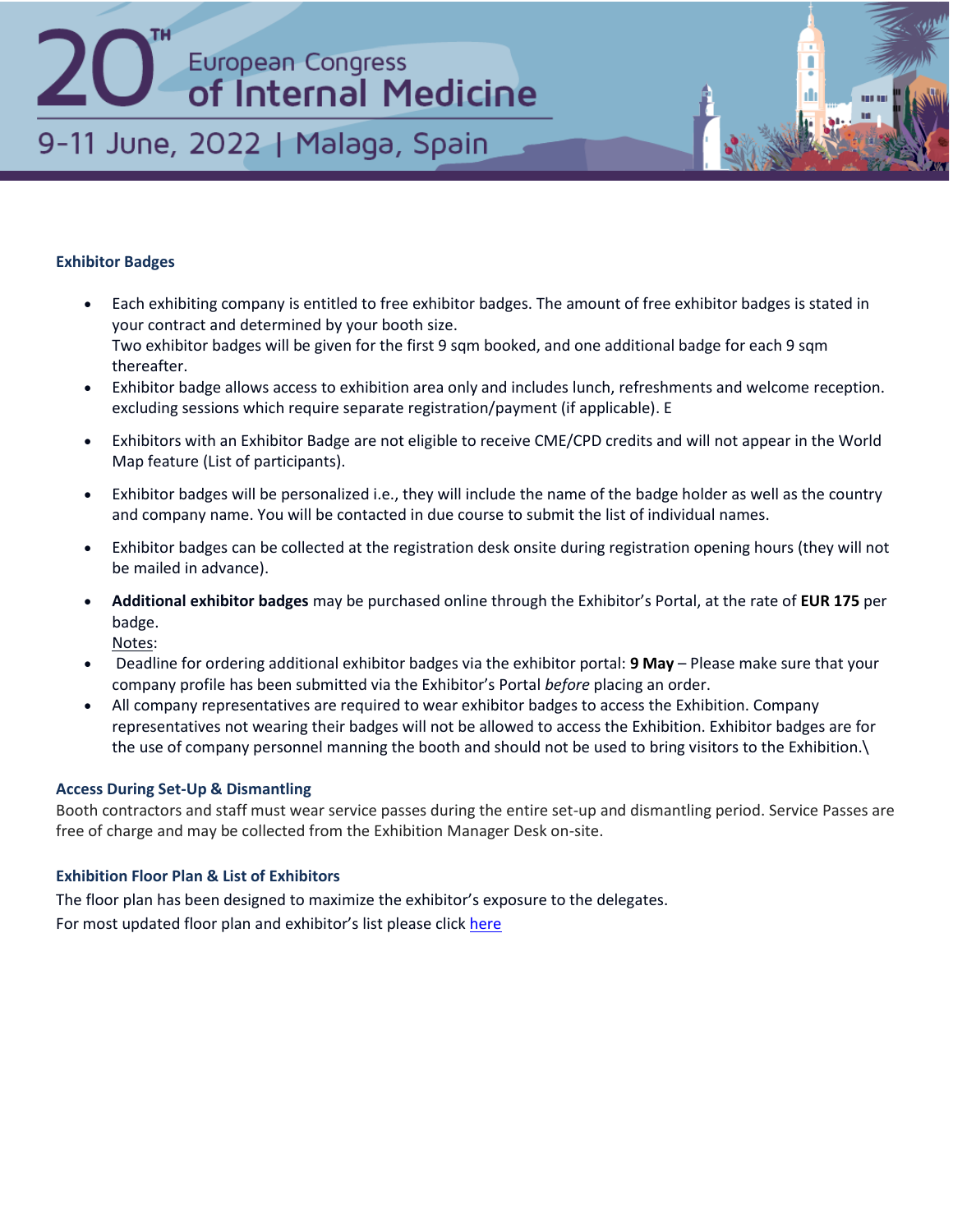## European Congress<br>
of Internal Medicine 9-11 June, 2022 | Malaga, Spain

## **Exhibitor Badges**

- Each exhibiting company is entitled to free exhibitor badges. The amount of free exhibitor badges is stated in your contract and determined by your booth size. Two exhibitor badges will be given for the first 9 sqm booked, and one additional badge for each 9 sqm thereafter.
- Exhibitor badge allows access to exhibition area only and includes lunch, refreshments and welcome reception. excluding sessions which require separate registration/payment (if applicable). E
- Exhibitors with an Exhibitor Badge are not eligible to receive CME/CPD credits and will not appear in the World Map feature (List of participants).
- Exhibitor badges will be personalized i.e., they will include the name of the badge holder as well as the country and company name. You will be contacted in due course to submit the list of individual names.
- Exhibitor badges can be collected at the registration desk onsite during registration opening hours (they will not be mailed in advance).
- **Additional exhibitor badges** may be purchased online through the Exhibitor's Portal, at the rate of **EUR 175** per badge.

Notes:

- Deadline for ordering additional exhibitor badges via the exhibitor portal: **9 May**  Please make sure that your company profile has been submitted via the Exhibitor's Portal *before* placing an order.
- All company representatives are required to wear exhibitor badges to access the Exhibition. Company representatives not wearing their badges will not be allowed to access the Exhibition. Exhibitor badges are for the use of company personnel manning the booth and should not be used to bring visitors to the Exhibition.\

## **Access During Set-Up & Dismantling**

Booth contractors and staff must wear service passes during the entire set-up and dismantling period. Service Passes are free of charge and may be collected from the Exhibition Manager Desk on-site.

## **Exhibition Floor Plan & List of Exhibitors**

The floor plan has been designed to maximize the exhibitor's exposure to the delegates. For most updated floor plan and exhibitor's list please clic[k here](https://apps.kenes.com/floorplan/#/congress/ECIM22)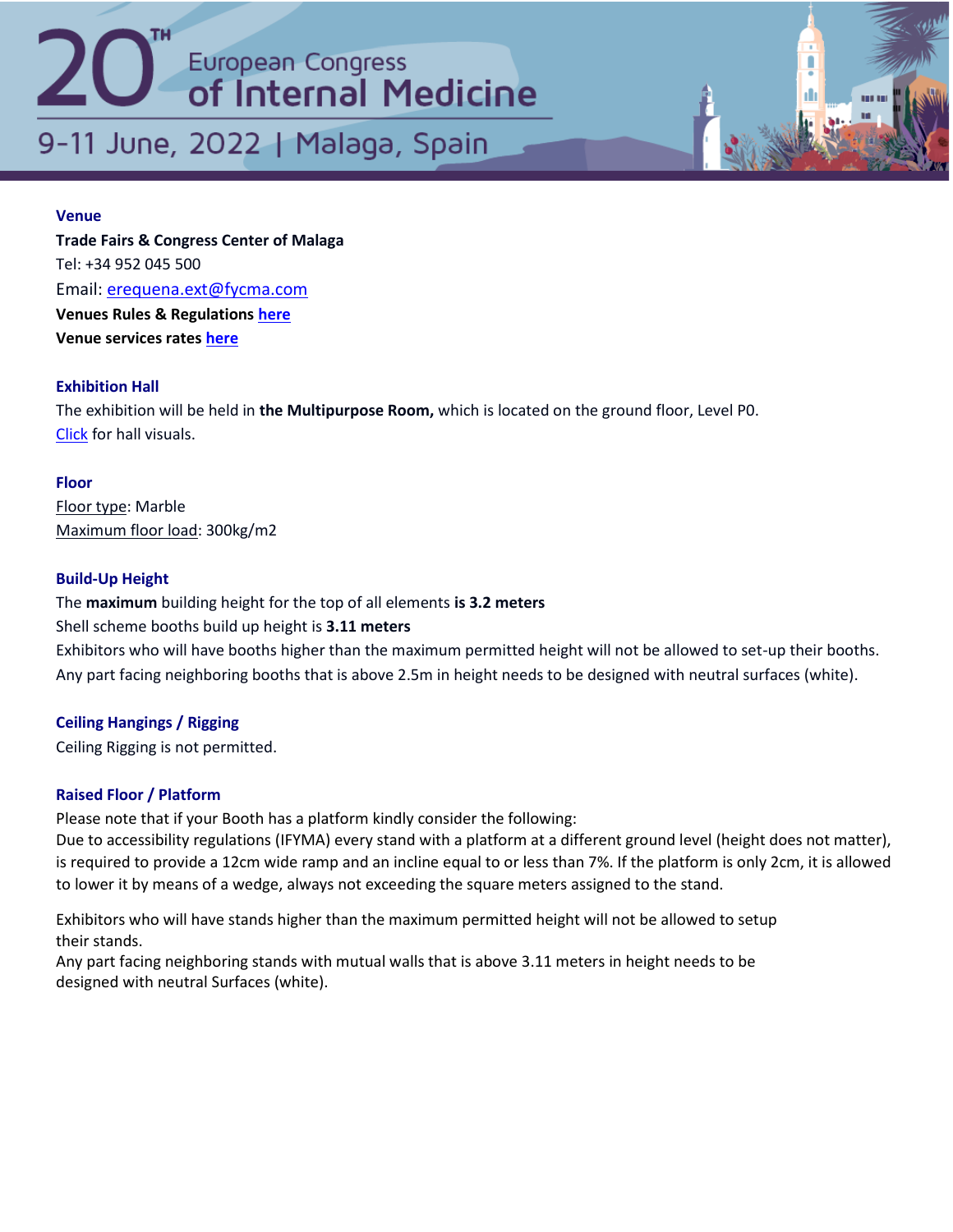9-11 June, 2022 | Malaga, Spain

## **Venue**

**Trade Fairs & Congress Center of Malaga** Tel: +34 952 045 500 Email: [erequena.ext@fycma.com](mailto:erequena.ext@fycma.com) **Venues Rules & Regulations [here](https://efim.org/ecim2022/wp-content/uploads/2022/03/Regulations-and-General-Terms-and-Conditions-fo-Participation-in-Events.pdf) Venue services rates [here](https://efim.org/ecim2022/wp-content/uploads/2022/03/Services-Rental-Rates2021.pdf)**

## **Exhibition Hall**

The exhibition will be held in **the Multipurpose Room,** which is located on the ground floor, Level P0. [Click](https://fycma.com/catalogo/multipurpose-area/?lang=en) for hall visuals.

## **Floor**

Floor type: Marble Maximum floor load: 300kg/m2

## **Build‐Up Height**

The **maximum** building height for the top of all elements **is 3.2 meters** Shell scheme booths build up height is **3.11 meters**

Exhibitors who will have booths higher than the maximum permitted height will not be allowed to set-up their booths. Any part facing neighboring booths that is above 2.5m in height needs to be designed with neutral surfaces (white).

## **Ceiling Hangings / Rigging**

Ceiling Rigging is not permitted.

## **Raised Floor / Platform**

Please note that if your Booth has a platform kindly consider the following:

Due to accessibility regulations (IFYMA) every stand with a platform at a different ground level (height does not matter), is required to provide a 12cm wide ramp and an incline equal to or less than 7%. If the platform is only 2cm, it is allowed to lower it by means of a wedge, always not exceeding the square meters assigned to the stand.

Exhibitors who will have stands higher than the maximum permitted height will not be allowed to setup their stands.

Any part facing neighboring stands with mutual walls that is above 3.11 meters in height needs to be designed with neutral Surfaces (white).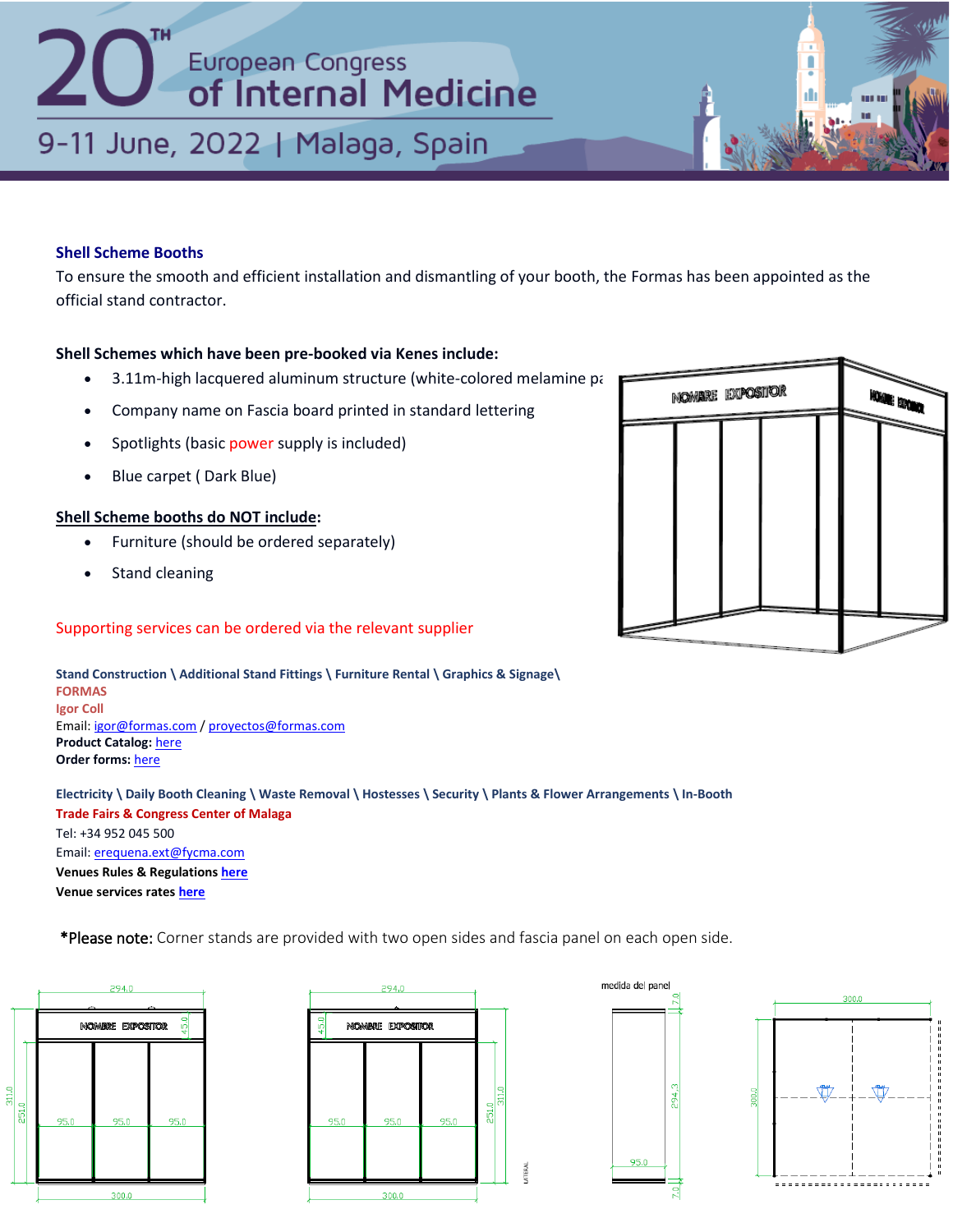## 9-11 June, 2022 | Malaga, Spain

## **Shell Scheme Booths**

To ensure the smooth and efficient installation and dismantling of your booth, the Formas has been appointed as the official stand contractor.

### **Shell Schemes which have been pre‐booked via Kenes include:**

- $\bullet$  3.11m-high lacquered aluminum structure (white-colored melamine panel
- Company name on Fascia board printed in standard lettering
- Spotlights (basic power supply is included)
- Blue carpet ( Dark Blue)

### **Shell Scheme booths do NOT include:**

- Furniture (should be ordered separately)
- Stand cleaning

## Supporting services can be ordered via the relevant supplier



**Electricity \ Daily Booth Cleaning \ Waste Removal \ Hostesses \ Security \ Plants & Flower Arrangements \ In-Booth Trade Fairs & Congress Center of Malaga** Tel: +34 952 045 500 Email[: erequena.ext@fycma.com](mailto:erequena.ext@fycma.com) **Venues Rules & Regulation[s here](https://efim.org/ecim2022/wp-content/uploads/2022/03/Regulations-and-General-Terms-and-Conditions-fo-Participation-in-Events.pdf) Venue services rate[s here](https://efim.org/ecim2022/wp-content/uploads/2022/03/Services-Rental-Rates2021.pdf)**

\*Please note: Corner stands are provided with two open sides and fascia panel on each open side.











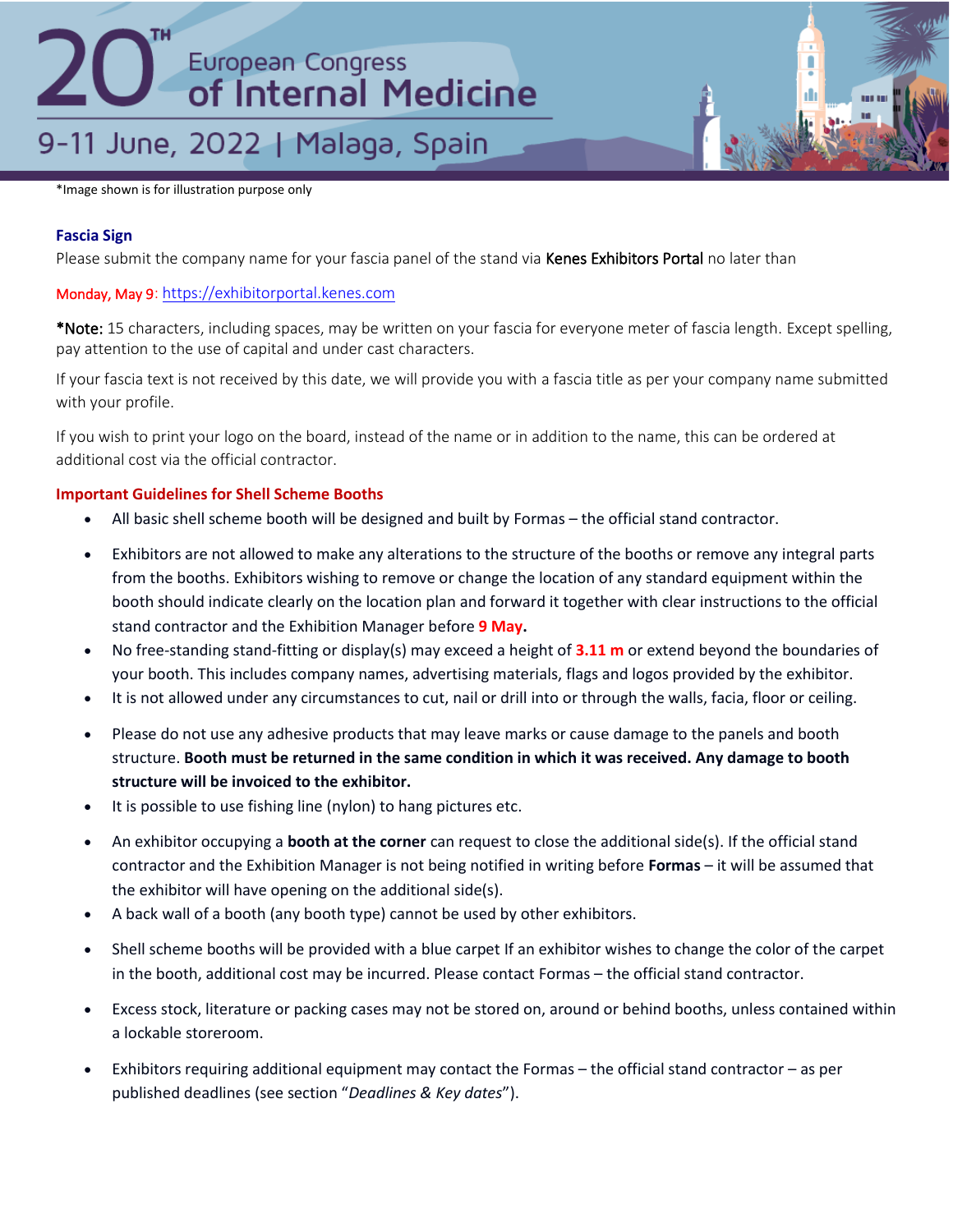## 9-11 June, 2022 | Malaga, Spain

\*Image shown is for illustration purpose only

## **Fascia Sign**

Please submit the company name for your fascia panel of the stand via Kenes Exhibitors Portal no later than

## Monday, May 9: [https://exhibitorportal.kenes.com](https://exhibitorportal.kenes.com/)

\*Note: 15 characters, including spaces, may be written on your fascia for everyone meter of fascia length. Except spelling, pay attention to the use of capital and under cast characters.

If your fascia text is not received by this date, we will provide you with a fascia title as per your company name submitted with your profile.

If you wish to print your logo on the board, instead of the name or in addition to the name, this can be ordered at additional cost via the official contractor.

## **Important Guidelines for Shell Scheme Booths**

- All basic shell scheme booth will be designed and built by Formas the official stand contractor.
- Exhibitors are not allowed to make any alterations to the structure of the booths or remove any integral parts from the booths. Exhibitors wishing to remove or change the location of any standard equipment within the booth should indicate clearly on the location plan and forward it together with clear instructions to the official stand contractor and the Exhibition Manager before **9 May.**
- No free-standing stand-fitting or display(s) may exceed a height of **3.11 m** or extend beyond the boundaries of your booth. This includes company names, advertising materials, flags and logos provided by the exhibitor.
- It is not allowed under any circumstances to cut, nail or drill into or through the walls, facia, floor or ceiling.
- Please do not use any adhesive products that may leave marks or cause damage to the panels and booth structure. **Booth must be returned in the same condition in which it was received. Any damage to booth structure will be invoiced to the exhibitor.**
- It is possible to use fishing line (nylon) to hang pictures etc.
- An exhibitor occupying a **booth at the corner** can request to close the additional side(s). If the official stand contractor and the Exhibition Manager is not being notified in writing before **Formas** – it will be assumed that the exhibitor will have opening on the additional side(s).
- A back wall of a booth (any booth type) cannot be used by other exhibitors.
- Shell scheme booths will be provided with a blue carpet If an exhibitor wishes to change the color of the carpet in the booth, additional cost may be incurred. Please contact Formas – the official stand contractor.
- Excess stock, literature or packing cases may not be stored on, around or behind booths, unless contained within a lockable storeroom.
- Exhibitors requiring additional equipment may contact the Formas the official stand contractor as per published deadlines (see section "*Deadlines & Key dates*").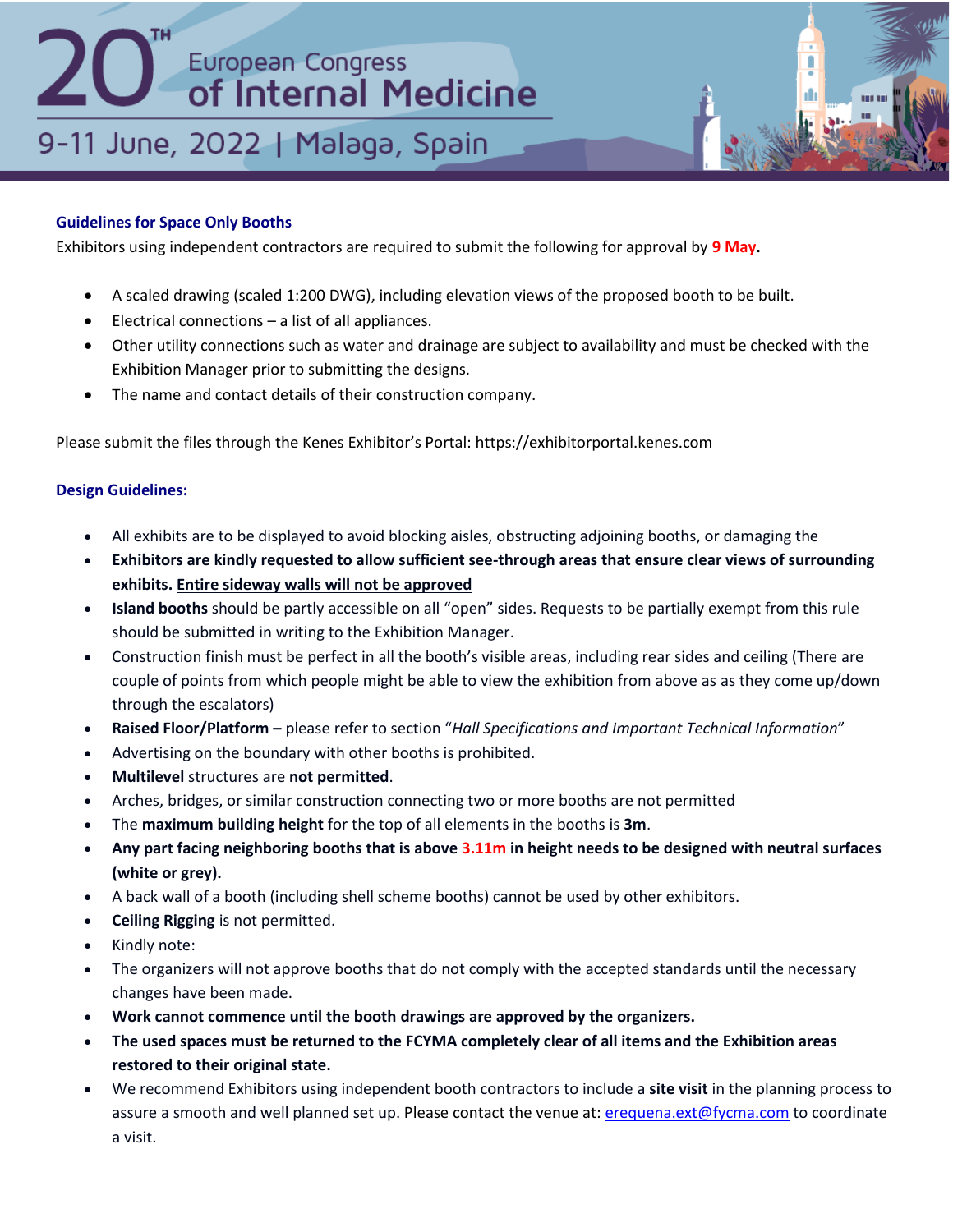## 9-11 June, 2022 | Malaga, Spain

## **Guidelines for Space Only Booths**

Exhibitors using independent contractors are required to submit the following for approval by **9 May.**

- A scaled drawing (scaled 1:200 DWG), including elevation views of the proposed booth to be built.
- Electrical connections a list of all appliances.
- Other utility connections such as water and drainage are subject to availability and must be checked with the Exhibition Manager prior to submitting the designs.
- The name and contact details of their construction company.

Please submit the files through the Kenes Exhibitor's Portal: https://exhibitorportal.kenes.com

## **Design Guidelines:**

- All exhibits are to be displayed to avoid blocking aisles, obstructing adjoining booths, or damaging the
- **Exhibitors are kindly requested to allow sufficient see-through areas that ensure clear views of surrounding exhibits. Entire sideway walls will not be approved**
- **Island booths** should be partly accessible on all "open" sides. Requests to be partially exempt from this rule should be submitted in writing to the Exhibition Manager.
- Construction finish must be perfect in all the booth's visible areas, including rear sides and ceiling (There are couple of points from which people might be able to view the exhibition from above as as they come up/down through the escalators)
- **Raised Floor/Platform –** please refer to section "*Hall Specifications and Important Technical Information*"
- Advertising on the boundary with other booths is prohibited.
- **Multilevel** structures are **not permitted**.
- Arches, bridges, or similar construction connecting two or more booths are not permitted
- The **maximum building height** for the top of all elements in the booths is **3m**.
- **Any part facing neighboring booths that is above 3.11m in height needs to be designed with neutral surfaces (white or grey).**
- A back wall of a booth (including shell scheme booths) cannot be used by other exhibitors.
- **Ceiling Rigging** is not permitted.
- Kindly note:
- The organizers will not approve booths that do not comply with the accepted standards until the necessary changes have been made.
- **Work cannot commence until the booth drawings are approved by the organizers.**
- **The used spaces must be returned to the FCYMA completely clear of all items and the Exhibition areas restored to their original state.**
- We recommend Exhibitors using independent booth contractors to include a **site visit** in the planning process to assure a smooth and well planned set up. Please contact the venue at: [erequena.ext@fycma.com](mailto:erequena.ext@fycma.com) to coordinate a visit.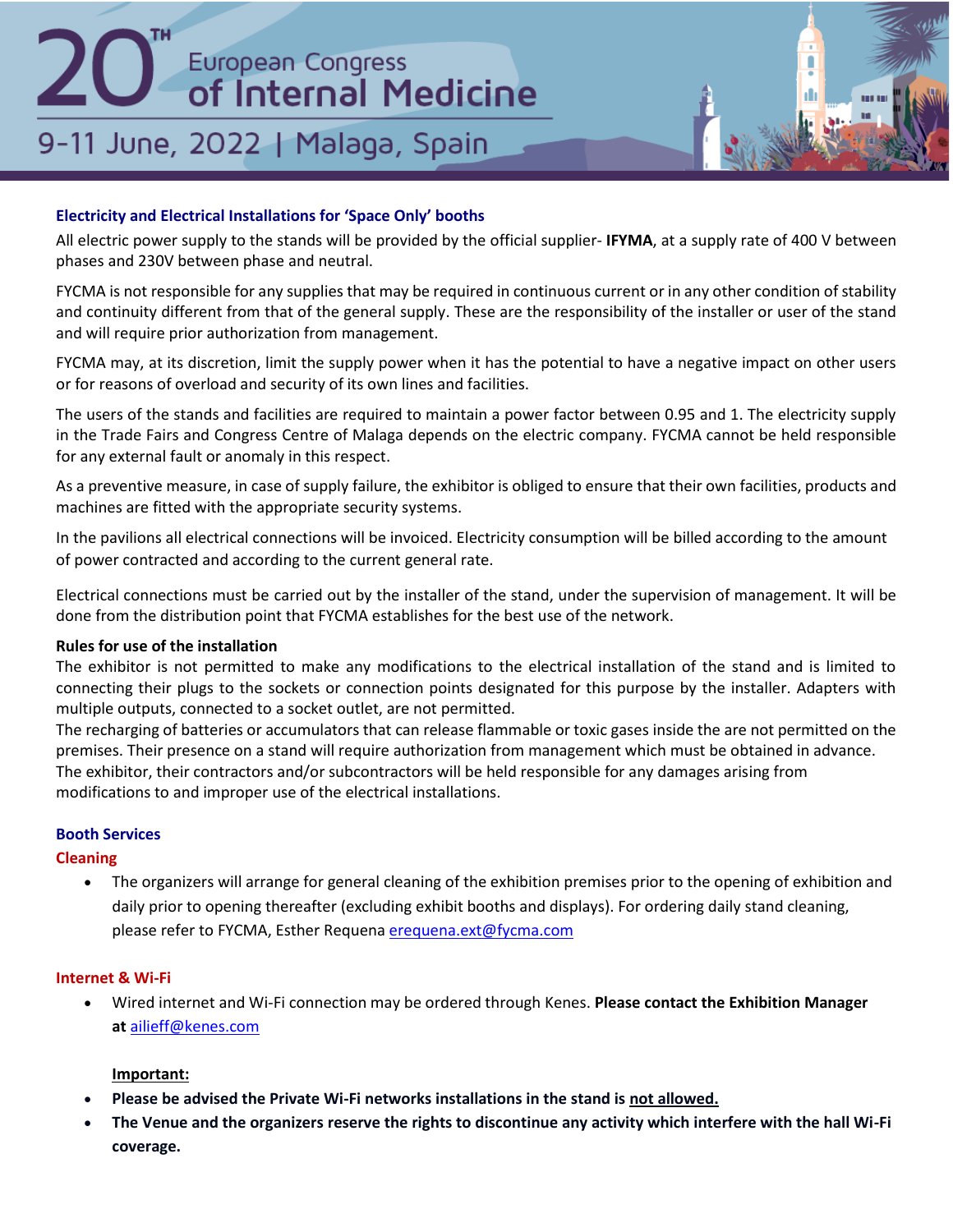## 9-11 June, 2022 | Malaga, Spain

## **Electricity and Electrical Installations for 'Space Only' booths**

All electric power supply to the stands will be provided by the official supplier- **IFYMA**, at a supply rate of 400 V between phases and 230V between phase and neutral.

FYCMA is not responsible for any supplies that may be required in continuous current or in any other condition of stability and continuity different from that of the general supply. These are the responsibility of the installer or user of the stand and will require prior authorization from management.

FYCMA may, at its discretion, limit the supply power when it has the potential to have a negative impact on other users or for reasons of overload and security of its own lines and facilities.

The users of the stands and facilities are required to maintain a power factor between 0.95 and 1. The electricity supply in the Trade Fairs and Congress Centre of Malaga depends on the electric company. FYCMA cannot be held responsible for any external fault or anomaly in this respect.

As a preventive measure, in case of supply failure, the exhibitor is obliged to ensure that their own facilities, products and machines are fitted with the appropriate security systems.

In the pavilions all electrical connections will be invoiced. Electricity consumption will be billed according to the amount of power contracted and according to the current general rate.

Electrical connections must be carried out by the installer of the stand, under the supervision of management. It will be done from the distribution point that FYCMA establishes for the best use of the network.

## **Rules for use of the installation**

The exhibitor is not permitted to make any modifications to the electrical installation of the stand and is limited to connecting their plugs to the sockets or connection points designated for this purpose by the installer. Adapters with multiple outputs, connected to a socket outlet, are not permitted.

The recharging of batteries or accumulators that can release flammable or toxic gases inside the are not permitted on the premises. Their presence on a stand will require authorization from management which must be obtained in advance. The exhibitor, their contractors and/or subcontractors will be held responsible for any damages arising from modifications to and improper use of the electrical installations.

## **Booth Services**

## **Cleaning**

• The organizers will arrange for general cleaning of the exhibition premises prior to the opening of exhibition and daily prior to opening thereafter (excluding exhibit booths and displays). For ordering daily stand cleaning, please refer to FYCMA, Esther Requena [erequena.ext@fycma.com](mailto:erequena.ext@fycma.com)

## **Internet & Wi-Fi**

• Wired internet and Wi-Fi connection may be ordered through Kenes. **Please contact the Exhibition Manager at** [ailieff@kenes.com](mailto:ailieff@kenes.com)

## **Important:**

- **Please be advised the Private Wi-Fi networks installations in the stand is not allowed.**
- **The Venue and the organizers reserve the rights to discontinue any activity which interfere with the hall Wi-Fi coverage.**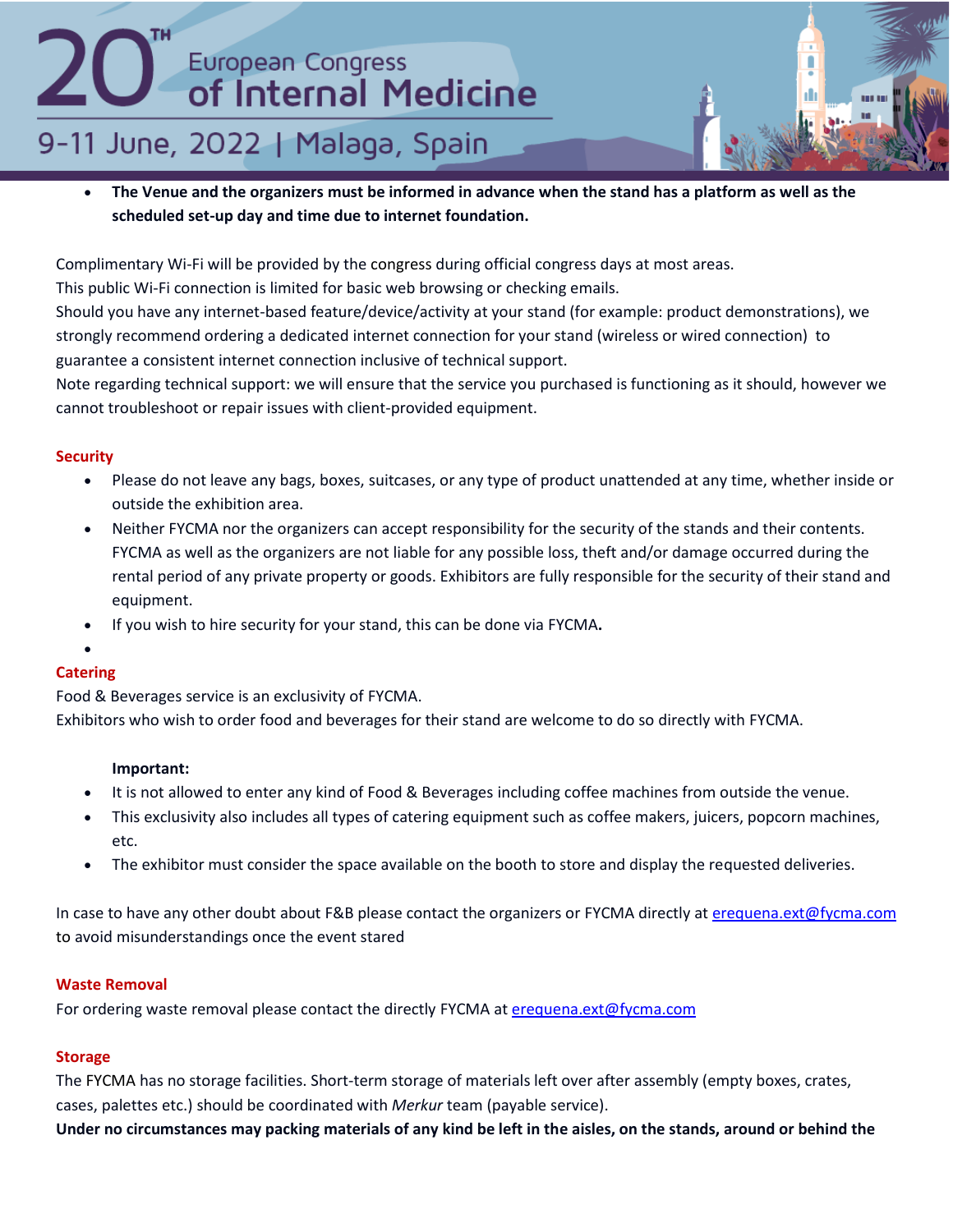## 9-11 June, 2022 | Malaga, Spain

• **The Venue and the organizers must be informed in advance when the stand has a platform as well as the scheduled set-up day and time due to internet foundation.**

Complimentary Wi-Fi will be provided by the congress during official congress days at most areas.

This public Wi-Fi connection is limited for basic web browsing or checking emails.

Should you have any internet-based feature/device/activity at your stand (for example: product demonstrations), we strongly recommend ordering a dedicated internet connection for your stand (wireless or wired connection) to guarantee a consistent internet connection inclusive of technical support.

Note regarding technical support: we will ensure that the service you purchased is functioning as it should, however we cannot troubleshoot or repair issues with client-provided equipment.

## **Security**

- Please do not leave any bags, boxes, suitcases, or any type of product unattended at any time, whether inside or outside the exhibition area.
- Neither FYCMA nor the organizers can accept responsibility for the security of the stands and their contents. FYCMA as well as the organizers are not liable for any possible loss, theft and/or damage occurred during the rental period of any private property or goods. Exhibitors are fully responsible for the security of their stand and equipment.
- If you wish to hire security for your stand, this can be done via FYCMA**.**
- •

## **Catering**

Food & Beverages service is an exclusivity of FYCMA. Exhibitors who wish to order food and beverages for their stand are welcome to do so directly with FYCMA.

## **Important:**

- It is not allowed to enter any kind of Food & Beverages including coffee machines from outside the venue.
- This exclusivity also includes all types of catering equipment such as coffee makers, juicers, popcorn machines, etc.
- The exhibitor must consider the space available on the booth to store and display the requested deliveries.

In case to have any other doubt about F&B please contact the organizers or FYCMA directly at [erequena.ext@fycma.com](mailto:erequena.ext@fycma.com) to avoid misunderstandings once the event stared

## **Waste Removal**

For ordering waste removal please contact the directly FYCMA at [erequena.ext@fycma.com](mailto:erequena.ext@fycma.com)

## **Storage**

The FYCMA has no storage facilities. Short-term storage of materials left over after assembly (empty boxes, crates, cases, palettes etc.) should be coordinated with *Merkur* team (payable service).

**Under no circumstances may packing materials of any kind be left in the aisles, on the stands, around or behind the**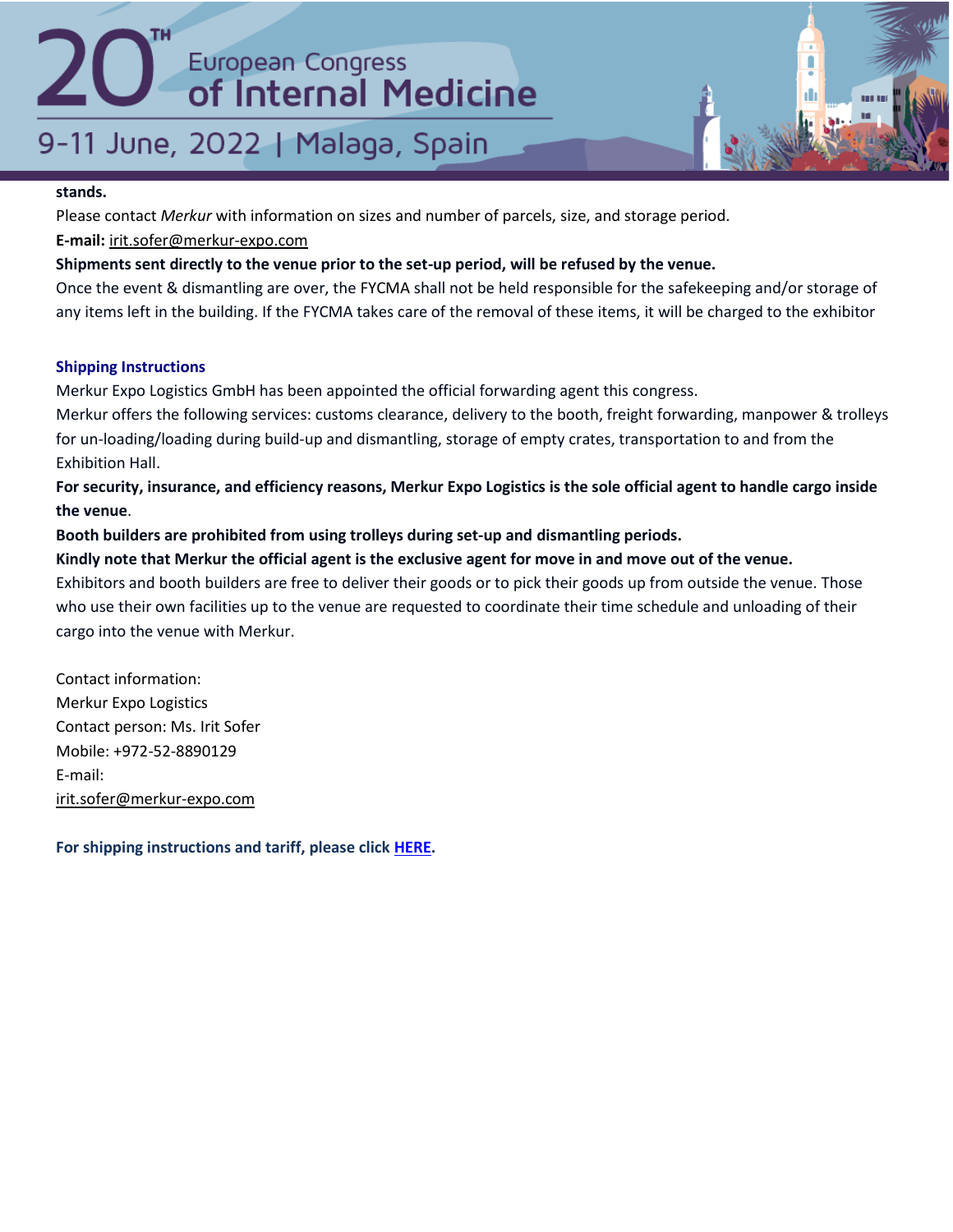## 9-11 June, 2022 | Malaga, Spain

## **stands.**

Please contact *Merkur* with information on sizes and number of parcels, size, and storage period.

**E-mail:** [irit.sofer@merkur-expo.com](mailto:irit.sofer@merkur-expo.com)

## **Shipments sent directly to the venue prior to the set-up period, will be refused by the venue.**

Once the event & dismantling are over, the FYCMA shall not be held responsible for the safekeeping and/or storage of any items left in the building. If the FYCMA takes care of the removal of these items, it will be charged to the exhibitor

## **Shipping Instructions**

Merkur Expo Logistics GmbH has been appointed the official forwarding agent this congress.

Merkur offers the following services: customs clearance, delivery to the booth, freight forwarding, manpower & trolleys for un-loading/loading during build-up and dismantling, storage of empty crates, transportation to and from the Exhibition Hall.

**For security, insurance, and efficiency reasons, Merkur Expo Logistics is the sole official agent to handle cargo inside the venue**.

**Booth builders are prohibited from using trolleys during set‐up and dismantling periods.**

## **Kindly note that Merkur the official agent is the exclusive agent for move in and move out of the venue.**

Exhibitors and booth builders are free to deliver their goods or to pick their goods up from outside the venue. Those who use their own facilities up to the venue are requested to coordinate their time schedule and unloading of their cargo into the venue with Merkur.

Contact information: Merkur Expo Logistics Contact person: Ms. Irit Sofer Mobile: +972-52-8890129 E-mail: [irit.sofer@merkur-expo.com](mailto:irit.sofer@merkur-expo.com)

**For shipping instructions and tariff, please click [HERE.](https://efim.org/ecim2022/wp-content/uploads/2022/03/ECIM-_22_MALAGA_SHIPPING_INSTRUCTION-.pdf)**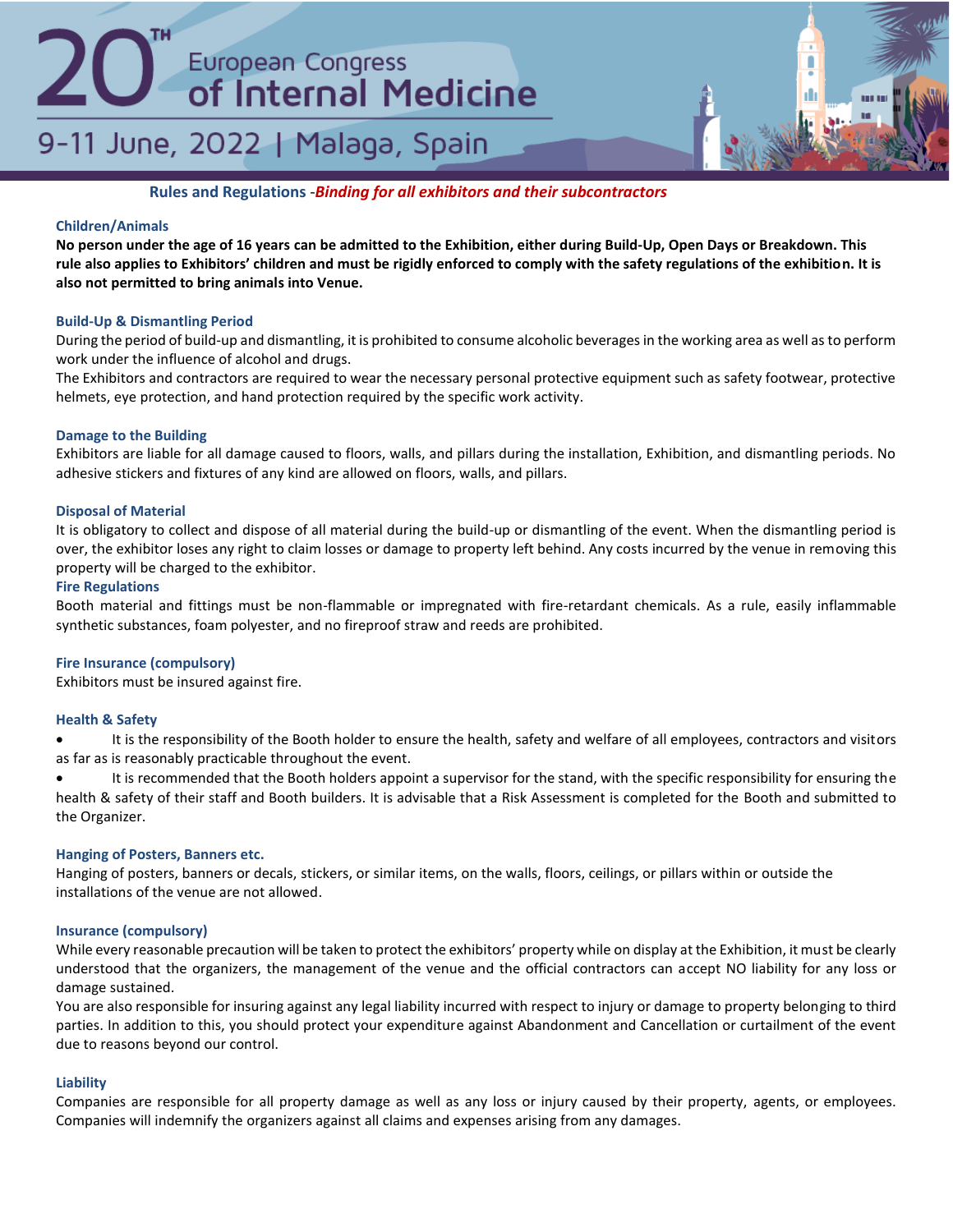## 9-11 June, 2022 | Malaga, Spain



**Rules and Regulations** -*Binding for all exhibitors and their subcontractors*

## **Children/Animals**

**No person under the age of 16 years can be admitted to the Exhibition, either during Build‐Up, Open Days or Breakdown. This rule also applies to Exhibitors' children and must be rigidly enforced to comply with the safety regulations of the exhibition. It is also not permitted to bring animals into Venue.**

### **Build-Up & Dismantling Period**

During the period of build-up and dismantling, it is prohibited to consume alcoholic beverages in the working area as well as to perform work under the influence of alcohol and drugs.

The Exhibitors and contractors are required to wear the necessary personal protective equipment such as safety footwear, protective helmets, eye protection, and hand protection required by the specific work activity.

### **Damage to the Building**

Exhibitors are liable for all damage caused to floors, walls, and pillars during the installation, Exhibition, and dismantling periods. No adhesive stickers and fixtures of any kind are allowed on floors, walls, and pillars.

### **Disposal of Material**

It is obligatory to collect and dispose of all material during the build-up or dismantling of the event. When the dismantling period is over, the exhibitor loses any right to claim losses or damage to property left behind. Any costs incurred by the venue in removing this property will be charged to the exhibitor.

### **Fire Regulations**

Booth material and fittings must be non-flammable or impregnated with fire-retardant chemicals. As a rule, easily inflammable synthetic substances, foam polyester, and no fireproof straw and reeds are prohibited.

### **Fire Insurance (compulsory)**

Exhibitors must be insured against fire.

### **Health & Safety**

It is the responsibility of the Booth holder to ensure the health, safety and welfare of all employees, contractors and visitors as far as is reasonably practicable throughout the event.

It is recommended that the Booth holders appoint a supervisor for the stand, with the specific responsibility for ensuring the health & safety of their staff and Booth builders. It is advisable that a Risk Assessment is completed for the Booth and submitted to the Organizer.

### **Hanging of Posters, Banners etc.**

Hanging of posters, banners or decals, stickers, or similar items, on the walls, floors, ceilings, or pillars within or outside the installations of the venue are not allowed.

### **Insurance (compulsory)**

While every reasonable precaution will be taken to protect the exhibitors' property while on display at the Exhibition, it must be clearly understood that the organizers, the management of the venue and the official contractors can accept NO liability for any loss or damage sustained.

You are also responsible for insuring against any legal liability incurred with respect to injury or damage to property belonging to third parties. In addition to this, you should protect your expenditure against Abandonment and Cancellation or curtailment of the event due to reasons beyond our control.

### **Liability**

Companies are responsible for all property damage as well as any loss or injury caused by their property, agents, or employees. Companies will indemnify the organizers against all claims and expenses arising from any damages.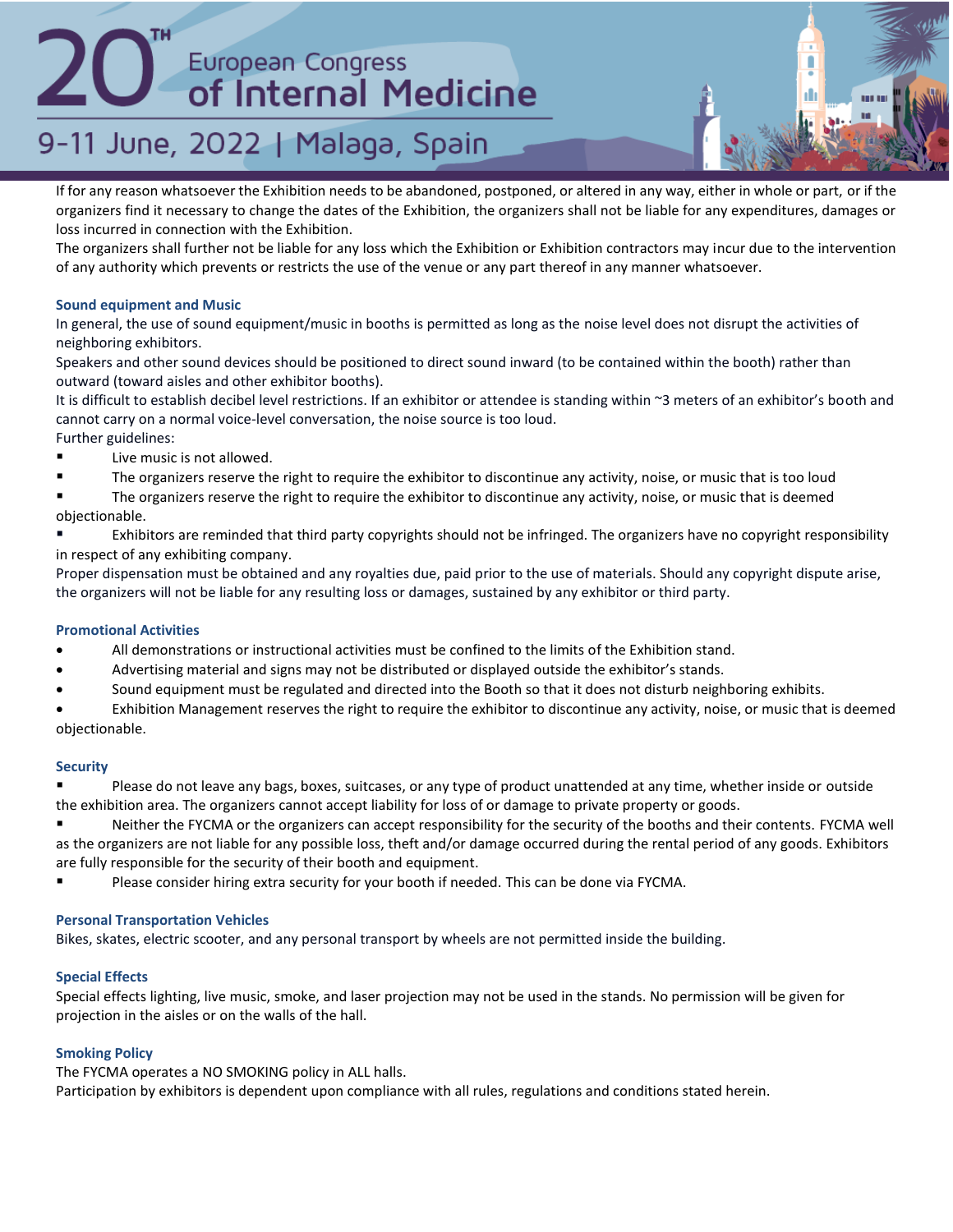## 9-11 June, 2022 | Malaga, Spain

If for any reason whatsoever the Exhibition needs to be abandoned, postponed, or altered in any way, either in whole or part, or if the organizers find it necessary to change the dates of the Exhibition, the organizers shall not be liable for any expenditures, damages or loss incurred in connection with the Exhibition.

The organizers shall further not be liable for any loss which the Exhibition or Exhibition contractors may incur due to the intervention of any authority which prevents or restricts the use of the venue or any part thereof in any manner whatsoever.

### **Sound equipment and Music**

In general, the use of sound equipment/music in booths is permitted as long as the noise level does not disrupt the activities of neighboring exhibitors.

Speakers and other sound devices should be positioned to direct sound inward (to be contained within the booth) rather than outward (toward aisles and other exhibitor booths).

It is difficult to establish decibel level restrictions. If an exhibitor or attendee is standing within ~3 meters of an exhibitor's booth and cannot carry on a normal voice-level conversation, the noise source is too loud.

- Further guidelines: ■ Live music is not allowed.
- The organizers reserve the right to require the exhibitor to discontinue any activity, noise, or music that is too loud

The organizers reserve the right to require the exhibitor to discontinue any activity, noise, or music that is deemed objectionable.

Exhibitors are reminded that third party copyrights should not be infringed. The organizers have no copyright responsibility in respect of any exhibiting company.

Proper dispensation must be obtained and any royalties due, paid prior to the use of materials. Should any copyright dispute arise, the organizers will not be liable for any resulting loss or damages, sustained by any exhibitor or third party.

### **Promotional Activities**

- All demonstrations or instructional activities must be confined to the limits of the Exhibition stand.
- Advertising material and signs may not be distributed or displayed outside the exhibitor's stands.
- Sound equipment must be regulated and directed into the Booth so that it does not disturb neighboring exhibits.

• Exhibition Management reserves the right to require the exhibitor to discontinue any activity, noise, or music that is deemed objectionable.

### **Security**

Please do not leave any bags, boxes, suitcases, or any type of product unattended at any time, whether inside or outside the exhibition area. The organizers cannot accept liability for loss of or damage to private property or goods.

■ Neither the FYCMA or the organizers can accept responsibility for the security of the booths and their contents. FYCMA well as the organizers are not liable for any possible loss, theft and/or damage occurred during the rental period of any goods. Exhibitors are fully responsible for the security of their booth and equipment.

Please consider hiring extra security for your booth if needed. This can be done via FYCMA.

### **Personal Transportation Vehicles**

Bikes, skates, electric scooter, and any personal transport by wheels are not permitted inside the building.

### **Special Effects**

Special effects lighting, live music, smoke, and laser projection may not be used in the stands. No permission will be given for projection in the aisles or on the walls of the hall.

### **Smoking Policy**

The FYCMA operates a NO SMOKING policy in ALL halls.

Participation by exhibitors is dependent upon compliance with all rules, regulations and conditions stated herein.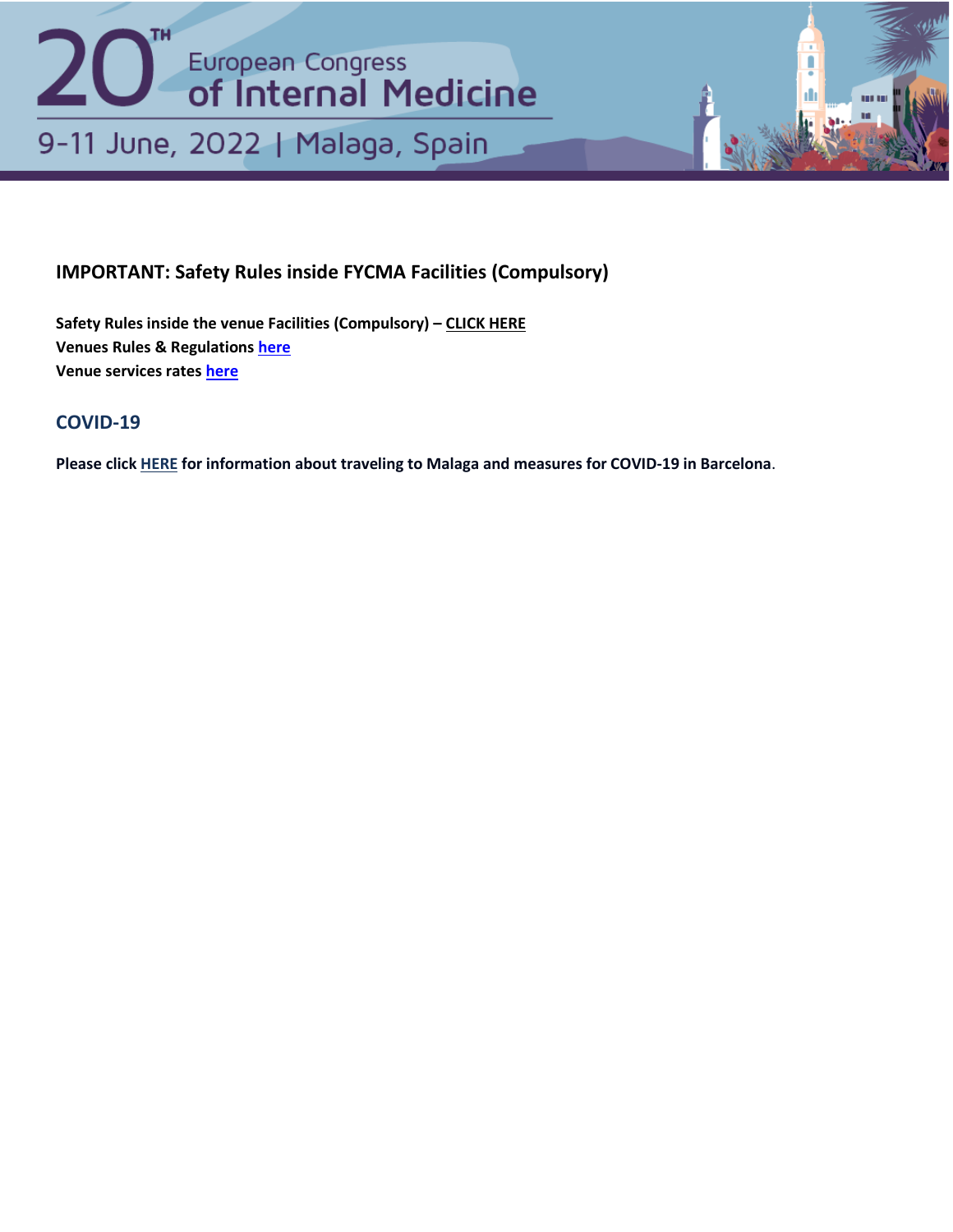

## **IMPORTANT: Safety Rules inside FYCMA Facilities [\(Compulsory\)](https://adpd.kenes.com/important-information-and-manuals/#1634212719284-70ef1a33-0365)**

**Safety Rules inside the venue Facilities (Compulsory) – [CLICK HERE](https://fycma.com/volverareunirnos/protocolo-eventos/?lang=en) Venues Rules & Regulations [here](https://efim.org/ecim2022/wp-content/uploads/2022/03/Regulations-and-General-Terms-and-Conditions-fo-Participation-in-Events.pdf) Venue services rates [here](https://efim.org/ecim2022/wp-content/uploads/2022/03/Services-Rental-Rates2021.pdf)**

## **[COVID-19](https://adpd.kenes.com/important-information-and-manuals/#1634212719284-70ef1a33-0365)**

**Please click [HERE](https://travelsafe.spain.info/en/) for information about traveling to Malaga and measures for COVID-19 in Barcelona**.